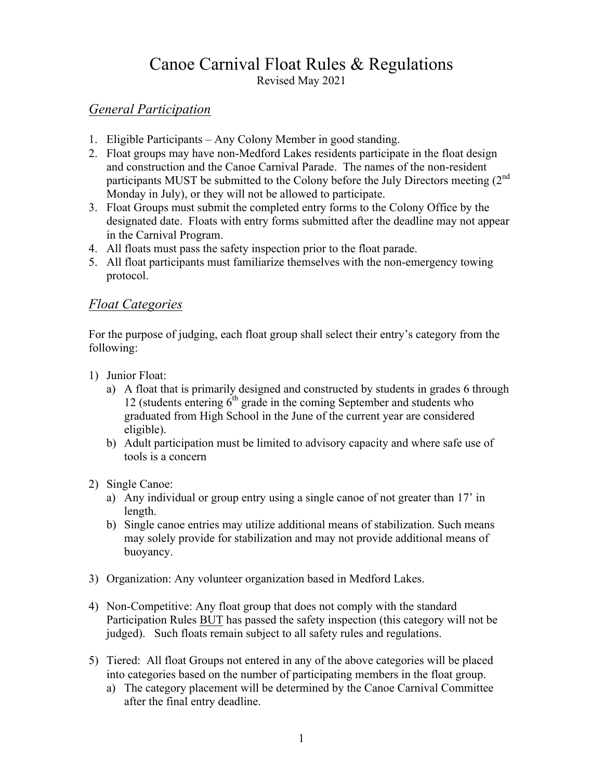# Canoe Carnival Float Rules & Regulations

Revised May 2021

#### *General Participation*

- 1. Eligible Participants Any Colony Member in good standing.
- 2. Float groups may have non-Medford Lakes residents participate in the float design and construction and the Canoe Carnival Parade. The names of the non-resident participants MUST be submitted to the Colony before the July Directors meeting (2<sup>nd</sup> Monday in July), or they will not be allowed to participate.
- 3. Float Groups must submit the completed entry forms to the Colony Office by the designated date. Floats with entry forms submitted after the deadline may not appear in the Carnival Program.
- 4. All floats must pass the safety inspection prior to the float parade.
- 5. All float participants must familiarize themselves with the non-emergency towing protocol.

## *Float Categories*

For the purpose of judging, each float group shall select their entry's category from the following:

- 1) Junior Float:
	- a) A float that is primarily designed and constructed by students in grades 6 through 12 (students entering  $6<sup>th</sup>$  grade in the coming September and students who graduated from High School in the June of the current year are considered eligible).
	- b) Adult participation must be limited to advisory capacity and where safe use of tools is a concern
- 2) Single Canoe:
	- a) Any individual or group entry using a single canoe of not greater than 17' in length.
	- b) Single canoe entries may utilize additional means of stabilization. Such means may solely provide for stabilization and may not provide additional means of buoyancy.
- 3) Organization: Any volunteer organization based in Medford Lakes.
- 4) Non-Competitive: Any float group that does not comply with the standard Participation Rules BUT has passed the safety inspection (this category will not be judged). Such floats remain subject to all safety rules and regulations.
- 5) Tiered: All float Groups not entered in any of the above categories will be placed into categories based on the number of participating members in the float group.
	- a) The category placement will be determined by the Canoe Carnival Committee after the final entry deadline.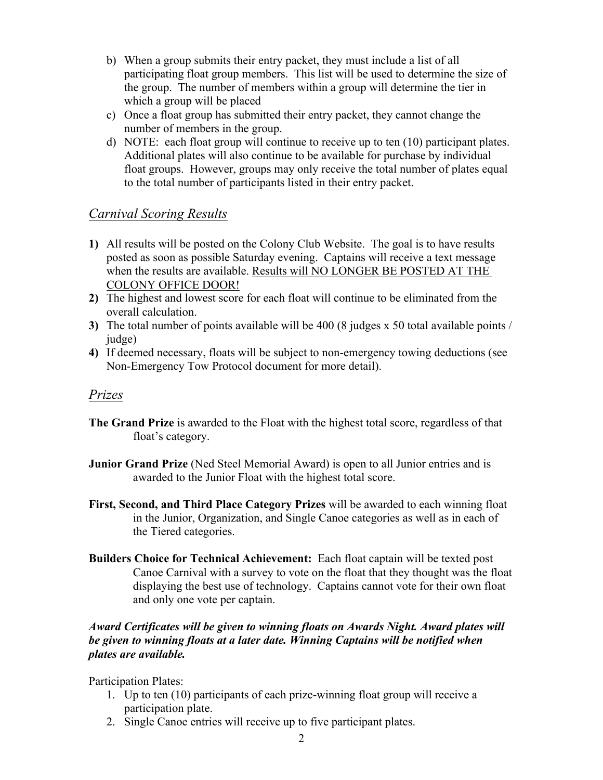- b) When a group submits their entry packet, they must include a list of all participating float group members. This list will be used to determine the size of the group. The number of members within a group will determine the tier in which a group will be placed
- c) Once a float group has submitted their entry packet, they cannot change the number of members in the group.
- d) NOTE: each float group will continue to receive up to ten (10) participant plates. Additional plates will also continue to be available for purchase by individual float groups. However, groups may only receive the total number of plates equal to the total number of participants listed in their entry packet.

## *Carnival Scoring Results*

- **1)** All results will be posted on the Colony Club Website. The goal is to have results posted as soon as possible Saturday evening. Captains will receive a text message when the results are available. Results will NO LONGER BE POSTED AT THE COLONY OFFICE DOOR!
- **2)** The highest and lowest score for each float will continue to be eliminated from the overall calculation.
- **3)** The total number of points available will be 400 (8 judges x 50 total available points / judge)
- **4)** If deemed necessary, floats will be subject to non-emergency towing deductions (see Non-Emergency Tow Protocol document for more detail).

#### *Prizes*

- **The Grand Prize** is awarded to the Float with the highest total score, regardless of that float's category.
- **Junior Grand Prize** (Ned Steel Memorial Award) is open to all Junior entries and is awarded to the Junior Float with the highest total score.
- **First, Second, and Third Place Category Prizes** will be awarded to each winning float in the Junior, Organization, and Single Canoe categories as well as in each of the Tiered categories.
- **Builders Choice for Technical Achievement:** Each float captain will be texted post Canoe Carnival with a survey to vote on the float that they thought was the float displaying the best use of technology. Captains cannot vote for their own float and only one vote per captain.

#### *Award Certificates will be given to winning floats on Awards Night. Award plates will be given to winning floats at a later date. Winning Captains will be notified when plates are available.*

Participation Plates:

- 1. Up to ten (10) participants of each prize-winning float group will receive a participation plate.
- 2. Single Canoe entries will receive up to five participant plates.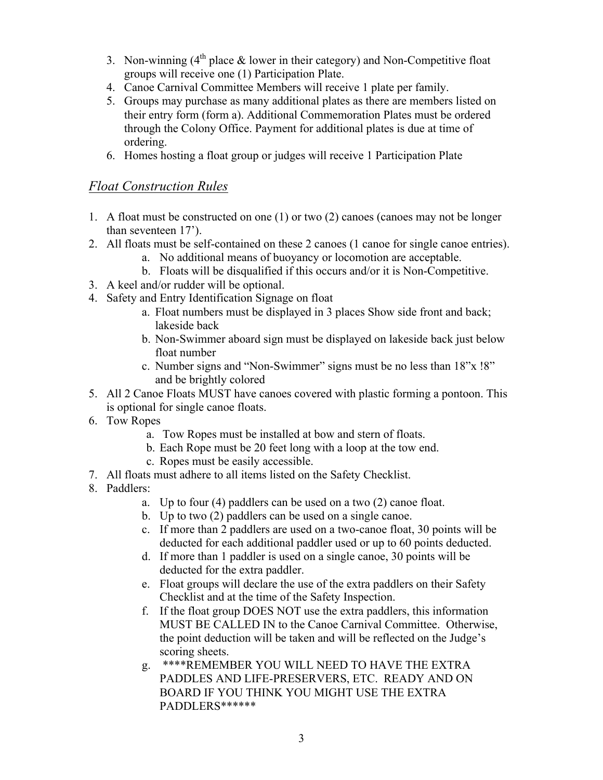- 3. Non-winning  $(4<sup>th</sup>$  place & lower in their category) and Non-Competitive float groups will receive one (1) Participation Plate.
- 4. Canoe Carnival Committee Members will receive 1 plate per family.
- 5. Groups may purchase as many additional plates as there are members listed on their entry form (form a). Additional Commemoration Plates must be ordered through the Colony Office. Payment for additional plates is due at time of ordering.
- 6. Homes hosting a float group or judges will receive 1 Participation Plate

#### *Float Construction Rules*

- 1. A float must be constructed on one (1) or two (2) canoes (canoes may not be longer than seventeen 17').
- 2. All floats must be self-contained on these 2 canoes (1 canoe for single canoe entries).
	- a. No additional means of buoyancy or locomotion are acceptable.
	- b. Floats will be disqualified if this occurs and/or it is Non-Competitive.
- 3. A keel and/or rudder will be optional.
- 4. Safety and Entry Identification Signage on float
	- a. Float numbers must be displayed in 3 places Show side front and back; lakeside back
	- b. Non-Swimmer aboard sign must be displayed on lakeside back just below float number
	- c. Number signs and "Non-Swimmer" signs must be no less than 18"x !8" and be brightly colored
- 5. All 2 Canoe Floats MUST have canoes covered with plastic forming a pontoon. This is optional for single canoe floats.
- 6. Tow Ropes
	- a. Tow Ropes must be installed at bow and stern of floats.
	- b. Each Rope must be 20 feet long with a loop at the tow end.
	- c. Ropes must be easily accessible.
- 7. All floats must adhere to all items listed on the Safety Checklist.
- 8. Paddlers:
	- a. Up to four (4) paddlers can be used on a two (2) canoe float.
	- b. Up to two (2) paddlers can be used on a single canoe.
	- c. If more than 2 paddlers are used on a two-canoe float, 30 points will be deducted for each additional paddler used or up to 60 points deducted.
	- d. If more than 1 paddler is used on a single canoe, 30 points will be deducted for the extra paddler.
	- e. Float groups will declare the use of the extra paddlers on their Safety Checklist and at the time of the Safety Inspection.
	- f. If the float group DOES NOT use the extra paddlers, this information MUST BE CALLED IN to the Canoe Carnival Committee. Otherwise, the point deduction will be taken and will be reflected on the Judge's scoring sheets.
	- g. \*\*\*\*REMEMBER YOU WILL NEED TO HAVE THE EXTRA PADDLES AND LIFE-PRESERVERS, ETC. READY AND ON BOARD IF YOU THINK YOU MIGHT USE THE EXTRA PADDLERS\*\*\*\*\*\*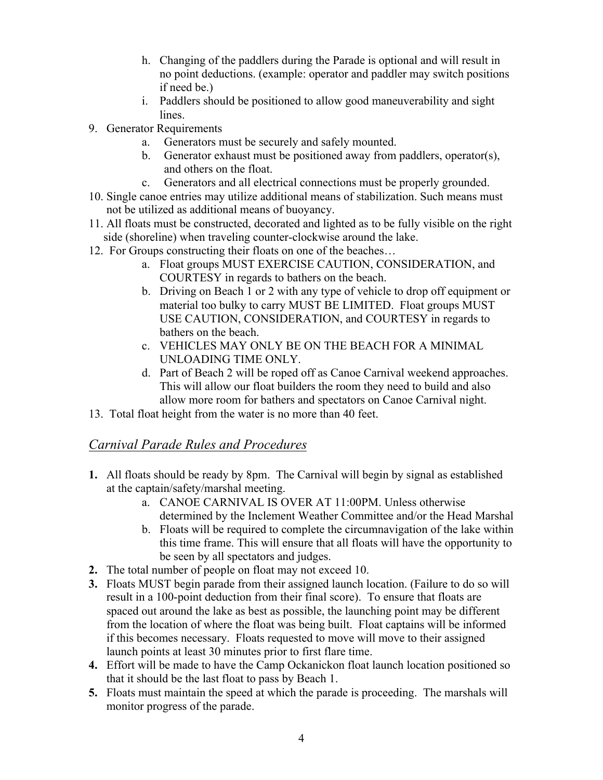- h. Changing of the paddlers during the Parade is optional and will result in no point deductions. (example: operator and paddler may switch positions if need be.)
- i. Paddlers should be positioned to allow good maneuverability and sight lines.
- 9. Generator Requirements
	- a. Generators must be securely and safely mounted.
	- b. Generator exhaust must be positioned away from paddlers, operator(s), and others on the float.
	- c. Generators and all electrical connections must be properly grounded.
- 10. Single canoe entries may utilize additional means of stabilization. Such means must not be utilized as additional means of buoyancy.
- 11. All floats must be constructed, decorated and lighted as to be fully visible on the right side (shoreline) when traveling counter-clockwise around the lake.
- 12. For Groups constructing their floats on one of the beaches…
	- a. Float groups MUST EXERCISE CAUTION, CONSIDERATION, and COURTESY in regards to bathers on the beach.
	- b. Driving on Beach 1 or 2 with any type of vehicle to drop off equipment or material too bulky to carry MUST BE LIMITED. Float groups MUST USE CAUTION, CONSIDERATION, and COURTESY in regards to bathers on the beach.
	- c. VEHICLES MAY ONLY BE ON THE BEACH FOR A MINIMAL UNLOADING TIME ONLY.
	- d. Part of Beach 2 will be roped off as Canoe Carnival weekend approaches. This will allow our float builders the room they need to build and also allow more room for bathers and spectators on Canoe Carnival night.
- 13. Total float height from the water is no more than 40 feet.

## *Carnival Parade Rules and Procedures*

- **1.** All floats should be ready by 8pm. The Carnival will begin by signal as established at the captain/safety/marshal meeting.
	- a. CANOE CARNIVAL IS OVER AT 11:00PM. Unless otherwise determined by the Inclement Weather Committee and/or the Head Marshal
	- b. Floats will be required to complete the circumnavigation of the lake within this time frame. This will ensure that all floats will have the opportunity to be seen by all spectators and judges.
- **2.** The total number of people on float may not exceed 10.
- **3.** Floats MUST begin parade from their assigned launch location. (Failure to do so will result in a 100-point deduction from their final score). To ensure that floats are spaced out around the lake as best as possible, the launching point may be different from the location of where the float was being built. Float captains will be informed if this becomes necessary. Floats requested to move will move to their assigned launch points at least 30 minutes prior to first flare time.
- **4.** Effort will be made to have the Camp Ockanickon float launch location positioned so that it should be the last float to pass by Beach 1.
- **5.** Floats must maintain the speed at which the parade is proceeding. The marshals will monitor progress of the parade.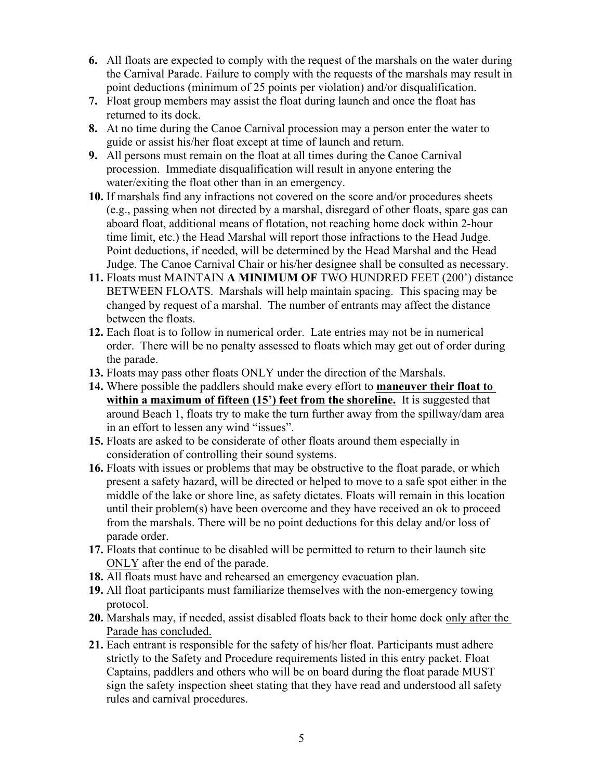- **6.** All floats are expected to comply with the request of the marshals on the water during the Carnival Parade. Failure to comply with the requests of the marshals may result in point deductions (minimum of 25 points per violation) and/or disqualification.
- **7.** Float group members may assist the float during launch and once the float has returned to its dock.
- **8.** At no time during the Canoe Carnival procession may a person enter the water to guide or assist his/her float except at time of launch and return.
- **9.** All persons must remain on the float at all times during the Canoe Carnival procession. Immediate disqualification will result in anyone entering the water/exiting the float other than in an emergency.
- **10.** If marshals find any infractions not covered on the score and/or procedures sheets (e.g., passing when not directed by a marshal, disregard of other floats, spare gas can aboard float, additional means of flotation, not reaching home dock within 2-hour time limit, etc.) the Head Marshal will report those infractions to the Head Judge. Point deductions, if needed, will be determined by the Head Marshal and the Head Judge. The Canoe Carnival Chair or his/her designee shall be consulted as necessary.
- **11.** Floats must MAINTAIN **A MINIMUM OF** TWO HUNDRED FEET (200') distance BETWEEN FLOATS. Marshals will help maintain spacing. This spacing may be changed by request of a marshal. The number of entrants may affect the distance between the floats.
- **12.** Each float is to follow in numerical order. Late entries may not be in numerical order. There will be no penalty assessed to floats which may get out of order during the parade.
- **13.** Floats may pass other floats ONLY under the direction of the Marshals.
- **14.** Where possible the paddlers should make every effort to **maneuver their float to within a maximum of fifteen (15') feet from the shoreline.** It is suggested that around Beach 1, floats try to make the turn further away from the spillway/dam area in an effort to lessen any wind "issues".
- **15.** Floats are asked to be considerate of other floats around them especially in consideration of controlling their sound systems.
- **16.** Floats with issues or problems that may be obstructive to the float parade, or which present a safety hazard, will be directed or helped to move to a safe spot either in the middle of the lake or shore line, as safety dictates. Floats will remain in this location until their problem(s) have been overcome and they have received an ok to proceed from the marshals. There will be no point deductions for this delay and/or loss of parade order.
- **17.** Floats that continue to be disabled will be permitted to return to their launch site ONLY after the end of the parade.
- **18.** All floats must have and rehearsed an emergency evacuation plan.
- **19.** All float participants must familiarize themselves with the non-emergency towing protocol.
- **20.** Marshals may, if needed, assist disabled floats back to their home dock only after the Parade has concluded.
- **21.** Each entrant is responsible for the safety of his/her float. Participants must adhere strictly to the Safety and Procedure requirements listed in this entry packet. Float Captains, paddlers and others who will be on board during the float parade MUST sign the safety inspection sheet stating that they have read and understood all safety rules and carnival procedures.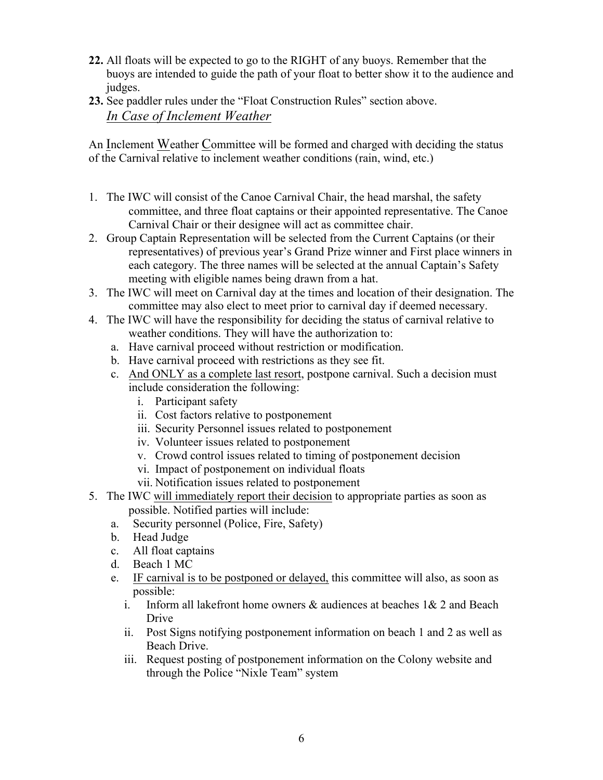- **22.** All floats will be expected to go to the RIGHT of any buoys. Remember that the buoys are intended to guide the path of your float to better show it to the audience and judges.
- **23.** See paddler rules under the "Float Construction Rules" section above. *In Case of Inclement Weather*

An Inclement Weather Committee will be formed and charged with deciding the status of the Carnival relative to inclement weather conditions (rain, wind, etc.)

- 1. The IWC will consist of the Canoe Carnival Chair, the head marshal, the safety committee, and three float captains or their appointed representative. The Canoe Carnival Chair or their designee will act as committee chair.
- 2. Group Captain Representation will be selected from the Current Captains (or their representatives) of previous year's Grand Prize winner and First place winners in each category. The three names will be selected at the annual Captain's Safety meeting with eligible names being drawn from a hat.
- 3. The IWC will meet on Carnival day at the times and location of their designation. The committee may also elect to meet prior to carnival day if deemed necessary.
- 4. The IWC will have the responsibility for deciding the status of carnival relative to weather conditions. They will have the authorization to:
	- a. Have carnival proceed without restriction or modification.
	- b. Have carnival proceed with restrictions as they see fit.
	- c. And ONLY as a complete last resort, postpone carnival. Such a decision must include consideration the following:
		- i. Participant safety
		- ii. Cost factors relative to postponement
		- iii. Security Personnel issues related to postponement
		- iv. Volunteer issues related to postponement
		- v. Crowd control issues related to timing of postponement decision
		- vi. Impact of postponement on individual floats
		- vii. Notification issues related to postponement
- 5. The IWC will immediately report their decision to appropriate parties as soon as possible. Notified parties will include:
	- a. Security personnel (Police, Fire, Safety)
	- b. Head Judge
	- c. All float captains
	- d. Beach 1 MC
	- e. IF carnival is to be postponed or delayed, this committee will also, as soon as possible:
		- i. Inform all lakefront home owners  $\&$  audiences at beaches  $1\&$  2 and Beach Drive
		- ii. Post Signs notifying postponement information on beach 1 and 2 as well as Beach Drive.
		- iii. Request posting of postponement information on the Colony website and through the Police "Nixle Team" system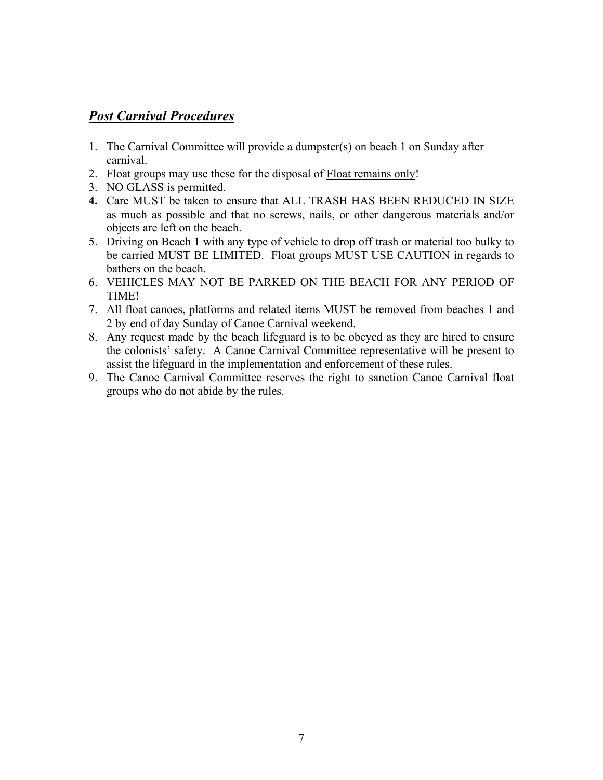# *Post Carnival Procedures*

- 1. The Carnival Committee will provide a dumpster(s) on beach 1 on Sunday after carnival.
- 2. Float groups may use these for the disposal of Float remains only!
- 3. NO GLASS is permitted.
- **4.** Care MUST be taken to ensure that ALL TRASH HAS BEEN REDUCED IN SIZE as much as possible and that no screws, nails, or other dangerous materials and/or objects are left on the beach.
- 5. Driving on Beach 1 with any type of vehicle to drop off trash or material too bulky to be carried MUST BE LIMITED. Float groups MUST USE CAUTION in regards to bathers on the beach.
- 6. VEHICLES MAY NOT BE PARKED ON THE BEACH FOR ANY PERIOD OF TIME!
- 7. All float canoes, platforms and related items MUST be removed from beaches 1 and 2 by end of day Sunday of Canoe Carnival weekend.
- 8. Any request made by the beach lifeguard is to be obeyed as they are hired to ensure the colonists' safety. A Canoe Carnival Committee representative will be present to assist the lifeguard in the implementation and enforcement of these rules.
- 9. The Canoe Carnival Committee reserves the right to sanction Canoe Carnival float groups who do not abide by the rules.